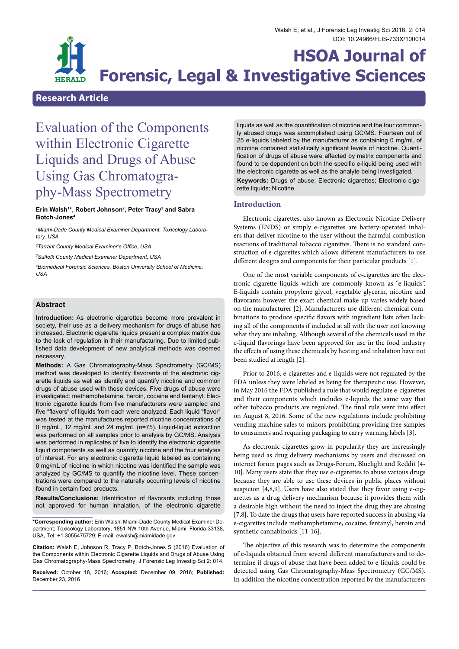

# **Research Article**

# Evaluation of the Components within Electronic Cigarette Liquids and Drugs of Abuse Using Gas Chromatogra- phy-Mass Spectrometry

## **Erin Walsh1 \*, Robert Johnson2 , Peter Tracy3 and Sabra Botch-Jones4**

*1 Miami-Dade County Medical Examiner Department, Toxicology Laboratory, USA*

*2 Tarrant County Medical Examiner's Office, USA*

*3 Suffolk County Medical Examiner Department, USA*

*4 Biomedical Forensic Sciences, Boston University School of Medicine, USA*

# **Abstract**

**Introduction:** As electronic cigarettes become more prevalent in society, their use as a delivery mechanism for drugs of abuse has increased. Electronic cigarette liquids present a complex matrix due to the lack of regulation in their manufacturing. Due to limited published data development of new analytical methods was deemed necessary.

**Methods:** A Gas Chromatography-Mass Spectrometry (GC/MS) method was developed to identify flavorants of the electronic cigarette liquids as well as identify and quantify nicotine and common drugs of abuse used with these devices. Five drugs of abuse were investigated: methamphetamine, heroin, cocaine and fentanyl. Electronic cigarette liquids from five manufacturers were sampled and five "flavors" of liquids from each were analyzed. Each liquid "flavor" was tested at the manufactures reported nicotine concentrations of 0 mg/mL, 12 mg/mL and 24 mg/mL (n=75). Liquid-liquid extraction was performed on all samples prior to analysis by GC/MS. Analysis was performed in replicates of five to identify the electronic cigarette liquid components as well as quantify nicotine and the four analytes of interest. For any electronic cigarette liquid labeled as containing 0 mg/mL of nicotine in which nicotine was identified the sample was analyzed by GC/MS to quantify the nicotine level. These concentrations were compared to the naturally occurring levels of nicotine found in certain food products.

**Results/Conclusions:** Identification of flavorants including those not approved for human inhalation, of the electronic cigarette

**\*Corresponding author:** Erin Walsh, Miami-Dade County Medical Examiner De- partment, Toxicology Laboratory, 1851 NW 10th Avenue, Miami, Florida 33138, USA, Tel: +1 3055475729; E-mail: ewalsh@miamidade.gov

**Citation:** Walsh E, Johnson R, Tracy P, Botch-Jones S (2016) Evaluation of the Components within Electronic Cigarette Liquids and Drugs of Abuse Using Gas Chromatography-Mass Spectrometry. J Forensic Leg Investig Sci 2: 014.

**Received:** October 18, 2016; **Accepted:** December 09, 2016; **Published:** December 23, 2016

liquids as well as the quantification of nicotine and the four commonly abused drugs was accomplished using GC/MS. Fourteen out of 25 e-liquids labeled by the manufacturer as containing 0 mg/mL of nicotine contained statistically significant levels of nicotine. Quantification of drugs of abuse were affected by matrix components and found to be dependent on both the specific e-liquid being used with the electronic cigarette as well as the analyte being investigated.

**Keywords:** Drugs of abuse; Electronic cigarettes; Electronic cigarette liquids; Nicotine

# **Introduction**

Electronic cigarettes, also known as Electronic Nicotine Delivery Systems (ENDS) or simply e-cigarettes are battery-operated inhalers that deliver nicotine to the user without the harmful combustion reactions of traditional tobacco cigarettes. There is no standard construction of e-cigarettes which allows different manufacturers to use different designs and components for their particular products [1].

One of the most variable components of e-cigarettes are the electronic cigarette liquids which are commonly known as "e-liquids". E-liquids contain propylene glycol, vegetable glycerin, nicotine and flavorants however the exact chemical make-up varies widely based on the manufacturer [2]. Manufacturers use different chemical combinations to produce specific flavors with ingredient lists often lacking all of the components if included at all with the user not knowing what they are inhaling. Although several of the chemicals used in the e-liquid flavorings have been approved for use in the food industry the effects of using these chemicals by heating and inhalation have not been studied at length [2].

Prior to 2016, e-cigarettes and e-liquids were not regulated by the FDA unless they were labeled as being for therapeutic use. However, in May 2016 the FDA published a rule that would regulate e-cigarettes and their components which includes e-liquids the same way that other tobacco products are regulated. The final rule went into effect on August 8, 2016. Some of the new regulations include prohibiting vending machine sales to minors prohibiting providing free samples to consumers and requiring packaging to carry warning labels [3].

As electronic cigarettes grow in popularity they are increasingly being used as drug delivery mechanisms by users and discussed on internet forum pages such as Drugs-Forum, Bluelight and Reddit [4- 10]. Many users state that they use e-cigarettes to abuse various drugs because they are able to use these devices in public places without suspicion [4,8,9]. Users have also stated that they favor using e-cigarettes as a drug delivery mechanism because it provides them with a desirable high without the need to inject the drug they are abusing [7,8]. To date the drugs that users have reported success in abusing via e-cigarettes include methamphetamine, cocaine, fentanyl, heroin and synthetic cannabinoids [11-16].

The objective of this research was to determine the components of e-liquids obtained from several different manufacturers and to determine if drugs of abuse that have been added to e-liquids could be detected using Gas Chromatography-Mass Spectrometry (GC/MS). In addition the nicotine concentration reported by the manufacturers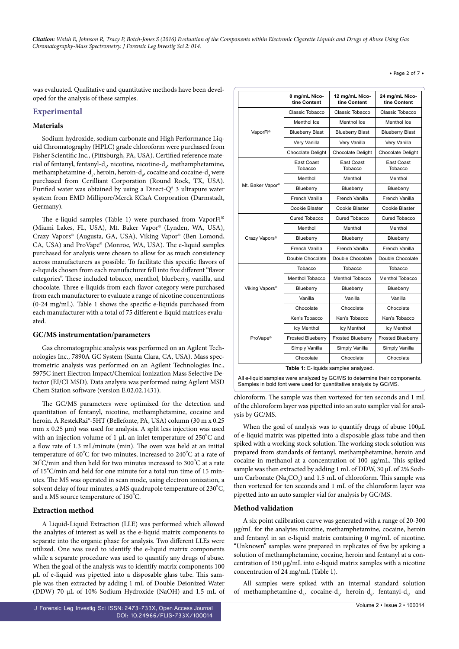• Page 2 of 7 •

was evaluated. Qualitative and quantitative methods have been developed for the analysis of these samples.

# **Experimental**

## **Materials**

Sodium hydroxide, sodium carbonate and High Performance Liquid Chromatography (HPLC) grade chloroform were purchased from Fisher Scientific Inc., (Pittsburgh, PA, USA). Certified reference material of fentanyl, fentanyl-d<sub>5</sub>, nicotine, nicotine-d<sub>4</sub>, methamphetamine, methamphetamine-d<sub>5</sub>, heroin, heroin-d<sub>9</sub>, cocaine and cocaine-d<sub>3</sub> were purchased from Cerilliant Corporation (Round Rock, TX, USA). Purified water was obtained by using a Direct-Q® 3 ultrapure water system from EMD Millipore/Merck KGaA Corporation (Darmstadt, Germany).

The e-liquid samples (Table 1) were purchased from VaporFi® (Miami Lakes, FL, USA), Mt. Baker Vapor® (Lynden, WA, USA), Crazy Vapors© (Augusta, GA, USA), Viking Vapor© (Ben Lomond, CA, USA) and ProVape© (Monroe, WA, USA). The e-liquid samples purchased for analysis were chosen to allow for as much consistency across manufacturers as possible. To facilitate this specific flavors of e-liquids chosen from each manufacturer fell into five different "flavor categories". These included tobacco, menthol, blueberry, vanilla, and chocolate. Three e-liquids from each flavor category were purchased from each manufacturer to evaluate a range of nicotine concentrations (0-24 mg/mL). Table 1 shows the specific e-liquids purchased from each manufacturer with a total of 75 different e-liquid matrices evaluated.

#### **GC/MS instrumentation/parameters**

Gas chromatographic analysis was performed on an Agilent Technologies Inc., 7890A GC System (Santa Clara, CA, USA). Mass spectrometric analysis was performed on an Agilent Technologies Inc., 5975C inert Electron Impact/Chemical Ionization Mass Selective Detector (EI/CI MSD). Data analysis was performed using Agilent MSD Chem Station software (version E.02.02.1431).

The GC/MS parameters were optimized for the detection and quantitation of fentanyl, nicotine, methamphetamine, cocaine and heroin. A RestekRxi®-5HT (Bellefonte, PA, USA) column (30 m x 0.25 mm x 0.25 μm) was used for analysis. A split less injection was used with an injection volume of 1  $\mu$ L an inlet temperature of 250°C and a flow rate of 1.3 mL/minute (min). The oven was held at an initial temperature of 60°C for two minutes, increased to 240°C at a rate of  $30^{\circ}$ C/min and then held for two minutes increased to  $300^{\circ}$ C at a rate of 15°C/min and held for one minute for a total run time of 15 minutes. The MS was operated in scan mode, using electron ionization, a solvent delay of four minutes, a MS quadrupole temperature of 230°C, and a MS source temperature of 150 $^{\circ}$ C.

## **Extraction method**

A Liquid-Liquid Extraction (LLE) was performed which allowed the analytes of interest as well as the e-liquid matrix components to separate into the organic phase for analysis. Two different LLEs were utilized. One was used to identify the e-liquid matrix components while a separate procedure was used to quantify any drugs of abuse. When the goal of the analysis was to identify matrix components 100 μL of e-liquid was pipetted into a disposable glass tube. This sample was then extracted by adding 1 mL of Double Deionized Water (DDW) 70 μL of 10% Sodium Hydroxide (NaOH) and 1.5 mL of

|                                                                                                                                                                                                                                                                                                                                                                                                                                         | 0 mg/mL Nico-<br>tine Content | 12 mg/mL Nico-<br>tine Content | 24 mg/mL Nico-<br>tine Content |  |
|-----------------------------------------------------------------------------------------------------------------------------------------------------------------------------------------------------------------------------------------------------------------------------------------------------------------------------------------------------------------------------------------------------------------------------------------|-------------------------------|--------------------------------|--------------------------------|--|
| VaporFi®                                                                                                                                                                                                                                                                                                                                                                                                                                | Classic Tobacco               | Classic Tobacco                | Classic Tobacco                |  |
|                                                                                                                                                                                                                                                                                                                                                                                                                                         | Menthol Ice                   | Menthol Ice                    | Menthol Ice                    |  |
|                                                                                                                                                                                                                                                                                                                                                                                                                                         | <b>Blueberry Blast</b>        | <b>Blueberry Blast</b>         | <b>Blueberry Blast</b>         |  |
|                                                                                                                                                                                                                                                                                                                                                                                                                                         | Very Vanilla                  | Very Vanilla                   | Very Vanilla                   |  |
|                                                                                                                                                                                                                                                                                                                                                                                                                                         | <b>Chocolate Delight</b>      | <b>Chocolate Delight</b>       | <b>Chocolate Delight</b>       |  |
|                                                                                                                                                                                                                                                                                                                                                                                                                                         | East Coast<br>Tobacco         | East Coast<br>Tobacco          | East Coast<br>Tobacco          |  |
|                                                                                                                                                                                                                                                                                                                                                                                                                                         | Menthol                       | Menthol                        | Menthol                        |  |
| Mt. Baker Vapor <sup>®</sup>                                                                                                                                                                                                                                                                                                                                                                                                            | Blueberry                     | Blueberry                      | Blueberry                      |  |
|                                                                                                                                                                                                                                                                                                                                                                                                                                         | French Vanilla                | French Vanilla                 | French Vanilla                 |  |
|                                                                                                                                                                                                                                                                                                                                                                                                                                         | Cookie Blaster                | Cookie Blaster                 | Cookie Blaster                 |  |
|                                                                                                                                                                                                                                                                                                                                                                                                                                         | Cured Tobacco                 | Cured Tobacco                  | Cured Tobacco                  |  |
|                                                                                                                                                                                                                                                                                                                                                                                                                                         | Menthol                       | Menthol                        | Menthol                        |  |
| Crazy Vapors <sup>®</sup>                                                                                                                                                                                                                                                                                                                                                                                                               | Blueberry                     | Blueberry                      | Blueberry                      |  |
|                                                                                                                                                                                                                                                                                                                                                                                                                                         | French Vanilla                | French Vanilla                 | French Vanilla                 |  |
|                                                                                                                                                                                                                                                                                                                                                                                                                                         | Double Chocolate              | Double Chocolate               | Double Chocolate               |  |
|                                                                                                                                                                                                                                                                                                                                                                                                                                         | Tobacco                       | Tobacco                        | Tobacco                        |  |
|                                                                                                                                                                                                                                                                                                                                                                                                                                         | Menthol Tobacco               | Menthol Tobacco                | Menthol Tobacco                |  |
| Viking Vapors <sup>®</sup>                                                                                                                                                                                                                                                                                                                                                                                                              | Blueberry                     | Blueberry                      | Blueberry                      |  |
|                                                                                                                                                                                                                                                                                                                                                                                                                                         | Vanilla                       | Vanilla                        | Vanilla                        |  |
|                                                                                                                                                                                                                                                                                                                                                                                                                                         | Chocolate                     | Chocolate                      | Chocolate                      |  |
| ProVape <sup>®</sup>                                                                                                                                                                                                                                                                                                                                                                                                                    | Ken's Tobacco                 | Ken's Tobacco                  | Ken's Tobacco                  |  |
|                                                                                                                                                                                                                                                                                                                                                                                                                                         | <b>Icy Menthol</b>            | Icy Menthol                    | Icy Menthol                    |  |
|                                                                                                                                                                                                                                                                                                                                                                                                                                         | <b>Frosted Blueberry</b>      | <b>Frosted Blueberry</b>       | <b>Frosted Blueberry</b>       |  |
|                                                                                                                                                                                                                                                                                                                                                                                                                                         | Simply Vanilla                | Simply Vanilla                 | Simply Vanilla                 |  |
|                                                                                                                                                                                                                                                                                                                                                                                                                                         | Chocolate                     | Chocolate                      | Chocolate                      |  |
| Table 1: E-liquids samples analyzed.<br>$\mathcal{L}$ and $\mathcal{L}$ $\mathcal{L}$ $\mathcal{L}$ $\mathcal{L}$ and $\mathcal{L}$ and $\mathcal{L}$ and $\mathcal{L}$ and $\mathcal{L}$<br>$\mathbf{A} \times \mathbf{B}$ . The set of the set of the set of the set of the set of the set of the set of the set of the set of the set of the set of the set of the set of the set of the set of the set of the set of the set of the |                               |                                |                                |  |

All e-liquid samples were analyzed by GC/MS to determine their components. Samples in bold font were used for quantitative analysis by GC/MS.

chloroform. The sample was then vortexed for ten seconds and 1 mL of the chloroform layer was pipetted into an auto sampler vial for analysis by GC/MS.

When the goal of analysis was to quantify drugs of abuse 100μL of e-liquid matrix was pipetted into a disposable glass tube and then spiked with a working stock solution. The working stock solution was prepared from standards of fentanyl, methamphetamine, heroin and cocaine in methanol at a concentration of 100 μg/mL. This spiked sample was then extracted by adding 1 mL of DDW, 30 μL of 2% Sodium Carbonate ( $\text{Na}_2\text{CO}_3$ ) and 1.5 mL of chloroform. This sample was then vortexed for ten seconds and 1 mL of the chloroform layer was pipetted into an auto sampler vial for analysis by GC/MS.

#### **Method validation**

A six point calibration curve was generated with a range of 20-300 μg/mL for the analytes nicotine, methamphetamine, cocaine, heroin and fentanyl in an e-liquid matrix containing 0 mg/mL of nicotine. "Unknown" samples were prepared in replicates of five by spiking a solution of methamphetamine, cocaine, heroin and fentanyl at a concentration of 150 μg/mL into e-liquid matrix samples with a nicotine concentration of 24 mg/mL (Table 1).

All samples were spiked with an internal standard solution of methamphetamine- $d_s$ , cocaine- $d_s$ , heroin- $d_s$ , fentanyl- $d_s$ , and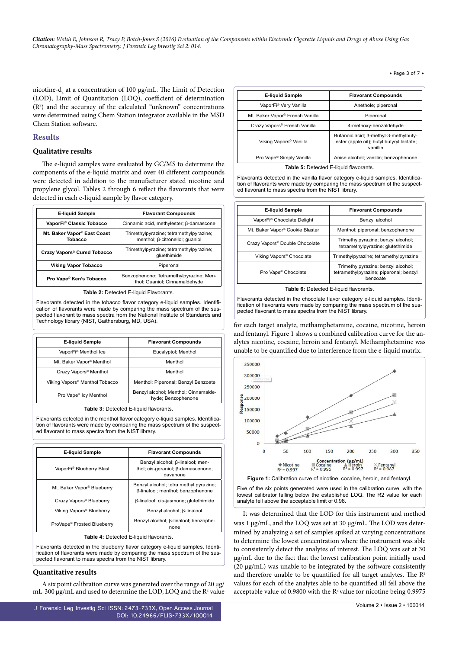• Page 3 of 7 •

nicotine-d<sub>4</sub> at a concentration of 100 μg/mL. The Limit of Detection (LOD), Limit of Quantitation (LOQ), coefficient of determination (R2 ) and the accuracy of the calculated "unknown" concentrations were determined using Chem Station integrator available in the MSD Chem Station software.

## **Results**

# **Qualitative results**

The e-liquid samples were evaluated by GC/MS to determine the components of the e-liquid matrix and over 40 different compounds were detected in addition to the manufacturer stated nicotine and propylene glycol. Tables 2 through 6 reflect the flavorants that were detected in each e-liquid sample by flavor category.

| <b>E-liquid Sample</b>                             | <b>Flavorant Compounds</b>                                                 |  |
|----------------------------------------------------|----------------------------------------------------------------------------|--|
| VaporFi® Classic Tobacco                           | Cinnamic acid, methylester; β-damascone                                    |  |
| Mt. Baker Vapor <sup>®</sup> East Coast<br>Tobacco | Trimethylpyrazine; tetramethylpyrazine;<br>menthol; ß-citronellol; quaniol |  |
| Crazy Vapors <sup>®</sup> Cured Tobacco            | Trimethylpyrazine; tetramethylpyrazine;<br>gluethimide                     |  |
| <b>Viking Vapor Tobacco</b>                        | Piperonal                                                                  |  |
| Pro Vape <sup>®</sup> Ken's Tobacco                | Benzophenone; Tetramethylpyrazine; Men-<br>thol; Guaniol; Cinnamaldehyde   |  |

**Table 2: Detected E-liquid Flavorants.** 

Flavorants detected in the tobacco flavor category e-liquid samples. Identification of flavorants were made by comparing the mass spectrum of the suspected flavorant to mass spectra from the National Institute of Standards and Technology library (NIST, Gaithersburg, MD, USA).

| <b>E-liquid Sample</b>                     | <b>Flavorant Compounds</b>                                 |  |
|--------------------------------------------|------------------------------------------------------------|--|
| VaporFi <sup>®</sup> Menthol Ice           | Eucalyptol; Menthol                                        |  |
| Mt. Baker Vapor <sup>®</sup> Menthol       | Menthol                                                    |  |
| Crazy Vapors <sup>®</sup> Menthol          | Menthol                                                    |  |
| Viking Vapors <sup>®</sup> Menthol Tobacco | Menthol; Piperonal; Benzyl Benzoate                        |  |
| Pro Vape <sup>®</sup> Icy Menthol          | Benzyl alcohol; Menthol; Cinnamalde-<br>hyde; Benzophenone |  |

**Table 3:** Detected E-liquid flavorants.

Flavorants detected in the menthol flavor category e-liquid samples. Identification of flavorants were made by comparing the mass spectrum of the suspected flavorant to mass spectra from the NIST library.

| <b>E-liquid Sample</b>                 | <b>Flavorant Compounds</b>                                                         |  |  |
|----------------------------------------|------------------------------------------------------------------------------------|--|--|
| VaporFi® Blueberry Blast               | Benzyl alcohol; β-linalool; men-<br>thol; cis-geraniol; β-damascenone;<br>davanone |  |  |
| Mt. Baker Vapor <sup>®</sup> Blueberry | Benzyl alcohol; tetra methyl pyrazine;<br>β-linalool; menthol; benzophenone        |  |  |
| Crazy Vapors <sup>®</sup> Blueberry    | β-linalool; cis-jasmone; glutethimide                                              |  |  |
| Viking Vapors <sup>®</sup> Blueberry   | Benzyl alcohol; ß-linalool                                                         |  |  |
| ProVape <sup>®</sup> Frosted Blueberry | Benzyl alcohol; ß-linalool; benzophe-<br>none                                      |  |  |

**Table 4:** Detected E-liquid flavorants.

Flavorants detected in the blueberry flavor category e-liquid samples. Identification of flavorants were made by comparing the mass spectrum of the suspected flavorant to mass spectra from the NIST library.

## **Quantitative results**

A six point calibration curve was generated over the range of 20 μg/ mL-300  $\mu$ g/mL and used to determine the LOD, LOQ and the R<sup>2</sup> value

J Forensic Leg Investig Sci ISSN: 2473-733X, Open Access Journal DOI: [10.24966/FLIS-733X/100014](http://dx.doi.org/10.24966/FLIS-733X/100014)

| <b>E-liquid Sample</b>                      | <b>Flavorant Compounds</b>                                                                      |  |
|---------------------------------------------|-------------------------------------------------------------------------------------------------|--|
| VaporFi® Very Vanilla                       | Anethole; piperonal                                                                             |  |
| Mt. Baker Vapor <sup>®</sup> French Vanilla | Piperonal                                                                                       |  |
| Crazy Vapors <sup>®</sup> French Vanilla    | 4-methoxy-benzaldehyde                                                                          |  |
| Viking Vapors <sup>®</sup> Vanilla          | Butanoic acid; 3-methyl-3-methylbuty-<br>lester (apple oil); butyl butyryl lactate;<br>vanillin |  |
| Pro Vape <sup>®</sup> Simply Vanilla        | Anise alcohol; vanillin; benzophenone                                                           |  |
| Table 5: Detected E-liquid flavorante       |                                                                                                 |  |

**Table 5:** Detected E-liquid flavorants.

Flavorants detected in the vanilla flavor category e-liquid samples. Identification of flavorants were made by comparing the mass spectrum of the suspected flavorant to mass spectra from the NIST library.

| <b>E-liquid Sample</b>                      | <b>Flavorant Compounds</b>                                                               |  |
|---------------------------------------------|------------------------------------------------------------------------------------------|--|
| VaporFi® Chocolate Delight                  | Benzyl alcohol                                                                           |  |
| Mt. Baker Vapor <sup>®</sup> Cookie Blaster | Menthol; piperonal; benzophenone                                                         |  |
| Crazy Vapors <sup>®</sup> Double Chocolate  | Trimethylpyrazine; benzyl alcohol;<br>tetramethylpyrazine; glutethimide                  |  |
| Viking Vapors <sup>®</sup> Chocolate        | Trimethylpyrazine; tetramethylpyrazine                                                   |  |
| Pro Vape <sup>®</sup> Chocolate             | Trimethylpyrazine; benzyl alcohol;<br>tetramethylpyrazine; piperonal; benzyl<br>benzoate |  |

**Table 6:** Detected E-liquid flavorants.

Flavorants detected in the chocolate flavor category e-liquid samples. Identification of flavorants were made by comparing the mass spectrum of the suspected flavorant to mass spectra from the NIST library.

for each target analyte, methamphetamine, cocaine, nicotine, heroin and fentanyl. Figure 1 shows a combined calibration curve for the analytes nicotine, cocaine, heroin and fentanyl. Methamphetamine was unable to be quantified due to interference from the e-liquid matrix.



**Figure 1:** Calibration curve of nicotine, cocaine, heroin, and fentanyl.

Five of the six points generated were used in the calibration curve, with the lowest calibrator falling below the established LOQ. The R2 value for each analyte fell above the acceptable limit of 0.98.

It was determined that the LOD for this instrument and method was 1 μg/mL, and the LOQ was set at 30 μg/mL. The LOD was determined by analyzing a set of samples spiked at varying concentrations to determine the lowest concentration where the instrument was able to consistently detect the analytes of interest. The LOQ was set at 30 µg/mL due to the fact that the lowest calibration point initially used (20 μg/mL) was unable to be integrated by the software consistently and therefore unable to be quantified for all target analytes. The  $\mathbb{R}^2$ values for each of the analytes able to be quantified all fell above the acceptable value of 0.9800 with the  $R^2$  value for nicotine being 0.9975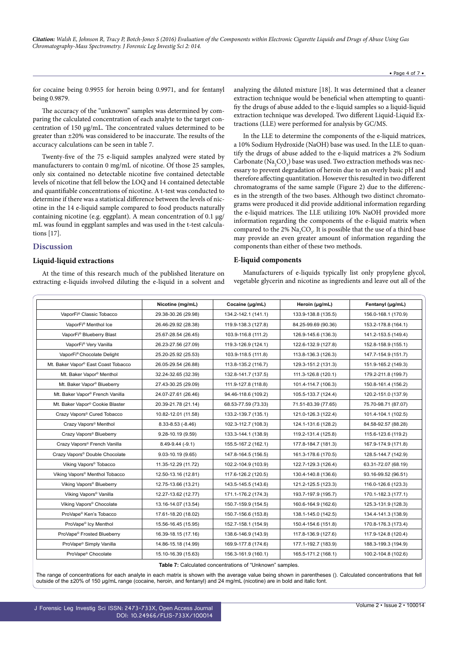for cocaine being 0.9955 for heroin being 0.9971, and for fentanyl being 0.9879.

The accuracy of the "unknown" samples was determined by comparing the calculated concentration of each analyte to the target concentration of 150 μg/mL. The concentrated values determined to be greater than ±20% was considered to be inaccurate. The results of the accuracy calculations can be seen in table 7.

Twenty-five of the 75 e-liquid samples analyzed were stated by manufacturers to contain 0 mg/mL of nicotine. Of those 25 samples, only six contained no detectable nicotine five contained detectable levels of nicotine that fell below the LOQ and 14 contained detectable and quantifiable concentrations of nicotine. A t-test was conducted to determine if there was a statistical difference between the levels of nicotine in the 14 e-liquid sample compared to food products naturally containing nicotine (e.g. eggplant). A mean concentration of 0.1  $\mu$ g/ mL was found in eggplant samples and was used in the t-test calculations [17].

## **Discussion**

#### **Liquid-liquid extractions**

At the time of this research much of the published literature on extracting e-liquids involved diluting the e-liquid in a solvent and analyzing the diluted mixture [18]. It was determined that a cleaner extraction technique would be beneficial when attempting to quantifiy the drugs of abuse added to the e-liquid samples so a liquid-liquid extraction technique was developed. Two different Liquid-Liquid Extractions (LLE) were performed for analysis by GC/MS.

In the LLE to determine the components of the e-liquid matrices, a 10% Sodium Hydroxide (NaOH) base was used. In the LLE to quantify the drugs of abuse added to the e-liquid matrices a 2% Sodium Carbonate ( $\text{Na}_2\text{CO}_3$ ) base was used. Two extraction methods was necessary to prevent degradation of heroin due to an overly basic pH and therefore affecting quantitation. However this resulted in two different chromatograms of the same sample (Figure 2) due to the differences in the strength of the two bases. Although two distinct chromatograms were produced it did provide additional information regarding the e-liquid matrices. The LLE utilizing 10% NaOH provided more information regarding the components of the e-liquid matrix when compared to the 2%  $\text{Na}_{2}\text{CO}_{3}$ . It is possible that the use of a third base may provide an even greater amount of information regarding the components than either of these two methods.

#### **E-liquid components**

Manufacturers of e-liquids typically list only propylene glycol, vegetable glycerin and nicotine as ingredients and leave out all of the

|                                                 | Nicotine (mg/mL)        | Cocaine (µg/mL)     | Heroin (µg/mL)      | Fentanyl (µg/mL)    |
|-------------------------------------------------|-------------------------|---------------------|---------------------|---------------------|
| VaporFi® Classic Tobacco                        | 29.38-30.26 (29.98)     | 134.2-142.1 (141.1) | 133.9-138.8 (135.5) | 156.0-168.1 (170.9) |
| VaporFi <sup>®</sup> Menthol Ice                | 26.46-29.92 (28.38)     | 119.9-138.3 (127.8) | 84.25-99.69 (90.36) | 153.2-178.8 (164.1) |
| VaporFi® Blueberry Blast                        | 25.67-28.54 (26.45)     | 103.9-116.8 (111.2) | 126.9-145.6 (136.3) | 141.2-153.5 (149.4) |
| VaporFi® Very Vanilla                           | 26.23-27.56 (27.09)     | 119.3-126.9 (124.1) | 122.6-132.9 (127.8) | 152.8-158.9 (155.1) |
| VaporFi® Chocolate Delight                      | 25.20-25.92 (25.53)     | 103.9-118.5 (111.8) | 113.8-136.3 (126.3) | 147.7-154.9 (151.7) |
| Mt. Baker Vapor <sup>®</sup> East Coast Tobacco | 26.05-29.54 (26.88)     | 113.8-135.2 (116.7) | 129.3-151.2 (131.3) | 151.9-165.2 (149.3) |
| Mt. Baker Vapor <sup>®</sup> Menthol            | 32.24-32.65 (32.39)     | 132.8-141.7 (137.5) | 111.3-126.8 (120.1) | 179.2-211.8 (199.7) |
| Mt. Baker Vapor <sup>®</sup> Blueberry          | 27.43-30.25 (29.09)     | 111.9-127.8 (118.8) | 101.4-114.7 (106.3) | 150.8-161.4 (156.2) |
| Mt. Baker Vapor <sup>®</sup> French Vanilla     | 24.07-27.61 (26.46)     | 94.46-118.6 (109.2) | 105.5-133.7 (124.4) | 120.2-151.0 (137.9) |
| Mt. Baker Vapor <sup>®</sup> Cookie Blaster     | 20.39-21.78 (21.14)     | 68.53-77.59 (73.33) | 71.51-83.39 (77.65) | 75.70-98.71 (87.07) |
| Crazy Vapors <sup>®</sup> Cured Tobacco         | 10.82-12.01 (11.58)     | 133.2-139.7 (135.1) | 121.0-126.3 (122.4) | 101.4-104.1 (102.5) |
| Crazy Vapors <sup>®</sup> Menthol               | $8.33 - 8.53$ $(-8.46)$ | 102.3-112.7 (108.3) | 124.1-131.6 (128.2) | 84.58-92.57 (88.28) |
| Crazy Vapors <sup>®</sup> Blueberry             | 9.28-10.19 (9.59)       | 133.3-144.1 (138.9) | 119.2-131.4 (125.8) | 115.6-123.6 (119.2) |
| Crazy Vapors <sup>®</sup> French Vanilla        | $8.49 - 9.44(-9.1)$     | 155.5-167.2 (162.1) | 177.8-184.7 (181.3) | 167.9-174.9 (171.8) |
| Crazy Vapors <sup>®</sup> Double Chocolate      | $9.03 - 10.19(9.65)$    | 147.8-164.5 (156.5) | 161.3-178.6 (170.5) | 128.5-144.7 (142.9) |
| Viking Vapors <sup>®</sup> Tobacco              | 11.35-12.29 (11.72)     | 102.2-104.9 (103.9) | 122.7-129.3 (126.4) | 63.31-72.07 (68.19) |
| Viking Vapors <sup>®</sup> Menthol Tobacco      | 12.50-13.16 (12.81)     | 117.6-126.2 (120.5) | 130.4-140.8 (136.6) | 93.16-99.52 (96.51) |
| Viking Vapors <sup>®</sup> Blueberry            | 12.75-13.66 (13.21)     | 143.5-145.5 (143.6) | 121.2-125.5 (123.3) | 116.0-126.6 (123.3) |
| Viking Vapors <sup>®</sup> Vanilla              | 12.27-13.62 (12.77)     | 171.1-176.2 (174.3) | 193.7-197.9 (195.7) | 170.1-182.3 (177.1) |
| Viking Vapors <sup>®</sup> Chocolate            | 13.16-14.07 (13.54)     | 150.7-159.9 (154.5) | 160.6-164.9 (162.6) | 125.3-131.9 (128.3) |
| ProVape <sup>®</sup> Ken's Tobacco              | 17.61-18.20 (18.02)     | 150.7-156.6 (153.8) | 138.1-145.0 (142.5) | 134.4-141.3 (138.9) |
| ProVape <sup>®</sup> Icy Menthol                | 15.56-16.45 (15.95)     | 152.7-158.1 (154.9) | 150.4-154.6 (151.8) | 170.8-176.3 (173.4) |
| ProVape <sup>®</sup> Frosted Blueberry          | 16.39-18.15 (17.16)     | 138.6-146.9 (143.9) | 117.8-136.9 (127.6) | 117.9-124.8 (120.4) |
| ProVape <sup>®</sup> Simply Vanilla             | 14.86-15.18 (14.99)     | 169.9-177.8 (174.6) | 177.1-192.7 (183.9) | 188.3-199.3 (194.9) |
| ProVape <sup>®</sup> Chocolate                  | 15.10-16.39 (15.63)     | 156.3-161.9 (160.1) | 165.5-171.2 (168.1) | 100.2-104.8 (102.6) |

**Table 7:** Calculated concentrations of "Unknown" samples.

The range of concentrations for each analyte in each matrix is shown with the average value being shown in parentheses (). Calculated concentrations that fell outside of the ±20% of 150 μg/mL range (cocaine, heroin, and fentanyl) and 24 mg/mL (nicotine) are in bold and italic font.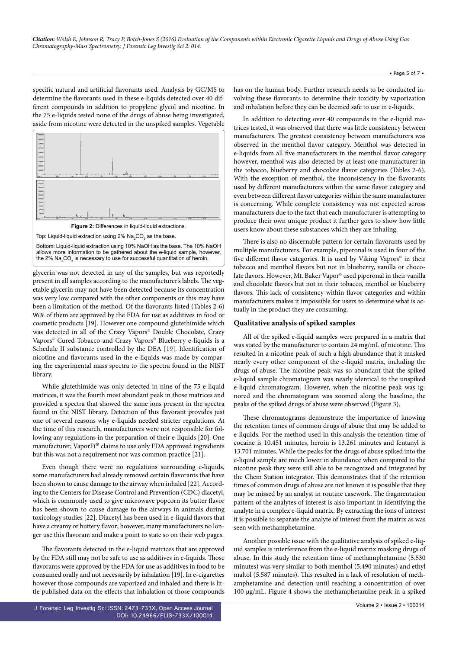specific natural and artificial flavorants used. Analysis by GC/MS to determine the flavorants used in these e-liquids detected over 40 different compounds in addition to propylene glycol and nicotine. In the 75 e-liquids tested none of the drugs of abuse being investigated, aside from nicotine were detected in the unspiked samples. Vegetable



Bottom: Liquid-liquid extraction using 10% NaOH as the base. The 10% NaOH allows more information to be gathered about the e-liquid sample, however, the 2%  $\mathsf{Na}_2\mathsf{CO}_3$  is necessary to use for successful quantitation of heroin.

glycerin was not detected in any of the samples, but was reportedly present in all samples according to the manufacturer's labels. The vegetable glycerin may not have been detected because its concentration was very low compared with the other components or this may have been a limitation of the method. Of the flavorants listed (Tables 2-6) 96% of them are approved by the FDA for use as additives in food or cosmetic products [19]. However one compound glutethimide which was detected in all of the Crazy Vapors<sup>®</sup> Double Chocolate, Crazy Vapors© Cured Tobacco and Crazy Vapors© Blueberry e-liquids is a Schedule II substance controlled by the DEA [19]. Identification of nicotine and flavorants used in the e-liquids was made by comparing the experimental mass spectra to the spectra found in the NIST library.

While glutethimide was only detected in nine of the 75 e-liquid matrices, it was the fourth most abundant peak in those matrices and provided a spectra that showed the same ions present in the spectra found in the NIST library. Detection of this flavorant provides just one of several reasons why e-liquids needed stricter regulations. At the time of this research, manufacturers were not responsible for following any regulations in the preparation of their e-liquids [20]. One manufacturer, VaporFi® claims to use only FDA approved ingredients but this was not a requirement nor was common practice [21].

Even though there were no regulations surrounding e-liquids, some manufacturers had already removed certain flavorants that have been shown to cause damage to the airway when inhaled [22]. According to the Centers for Disease Control and Prevention (CDC) diacetyl, which is commonly used to give microwave popcorn its butter flavor has been shown to cause damage to the airways in animals during toxicology studies [22]. Diacetyl has been used in e-liquid flavors that have a creamy or buttery flavor; however, many manufacturers no longer use this flavorant and make a point to state so on their web pages.

The flavorants detected in the e-liquid matrices that are approved by the FDA still may not be safe to use as additives in e-liquids. Those flavorants were approved by the FDA for use as additives in food to be consumed orally and not necessarily by inhalation [19]. In e-cigarettes however those compounds are vaporized and inhaled and there is little published data on the effects that inhalation of those compounds has on the human body. Further research needs to be conducted involving these flavorants to determine their toxicity by vaporization and inhalation before they can be deemed safe to use in e-liquids.

In addition to detecting over 40 compounds in the e-liquid matrices tested, it was observed that there was little consistency between manufacturers. The greatest consistency between manufacturers was observed in the menthol flavor category. Menthol was detected in e-liquids from all five manufacturers in the menthol flavor category however, menthol was also detected by at least one manufacturer in the tobacco, blueberry and chocolate flavor categories (Tables 2-6). With the exception of menthol, the inconsistency in the flavorants used by different manufacturers within the same flavor category and even between different flavor categories within the same manufacturer is concerning. While complete consistency was not expected across manufacturers due to the fact that each manufacturer is attempting to produce their own unique product it further goes to show how little users know about these substances which they are inhaling.

There is also no discernable pattern for certain flavorants used by multiple manufacturers. For example, piperonal is used in four of the five different flavor categories. It is used by Viking Vapors<sup>®</sup> in their tobacco and menthol flavors but not in blueberry, vanilla or chocolate flavors. However, Mt. Baker Vapor® used piperonal in their vanilla and chocolate flavors but not in their tobacco, menthol or blueberry flavors. This lack of consistency within flavor categories and within manufacturers makes it impossible for users to determine what is actually in the product they are consuming.

## **Qualitative analysis of spiked samples**

All of the spiked e-liquid samples were prepared in a matrix that was stated by the manufacturer to contain 24 mg/mL of nicotine. This resulted in a nicotine peak of such a high abundance that it masked nearly every other component of the e-liquid matrix, including the drugs of abuse. The nicotine peak was so abundant that the spiked e-liquid sample chromatogram was nearly identical to the unspiked e-liquid chromatogram. However, when the nicotine peak was ignored and the chromatogram was zoomed along the baseline, the peaks of the spiked drugs of abuse were observed (Figure 3).

These chromatograms demonstrate the importance of knowing the retention times of common drugs of abuse that may be added to e-liquids. For the method used in this analysis the retention time of cocaine is 10.451 minutes, heroin is 13.261 minutes and fentanyl is 13.701 minutes. While the peaks for the drugs of abuse spiked into the e-liquid sample are much lower in abundance when compared to the nicotine peak they were still able to be recognized and integrated by the Chem Station integrator. This demonstrates that if the retention times of common drugs of abuse are not known it is possible that they may be missed by an analyst in routine casework. The fragmentation pattern of the analytes of interest is also important in identifying the analyte in a complex e-liquid matrix. By extracting the ions of interest it is possible to separate the analyte of interest from the matrix as was seen with methamphetamine.

Another possible issue with the qualitative analysis of spiked e-liquid samples is interference from the e-liquid matrix masking drugs of abuse. In this study the retention time of methamphetamine (5.530 minutes) was very similar to both menthol (5.490 minutes) and ethyl maltol (5.587 minutes). This resulted in a lack of resolution of methamphetamine and detection until reaching a concentration of over 100 μg/mL. Figure 4 shows the methamphetamine peak in a spiked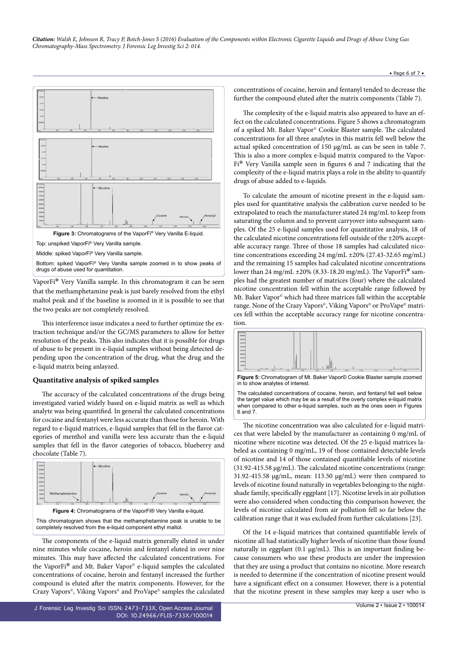

Middle: spiked VaporFi® Very Vanilla sample.

Bottom: spiked VaporFi® Very Vanilla sample zoomed in to show peaks of drugs of abuse used for quantitation.

VaporFi® Very Vanilla sample. In this chromatogram it can be seen that the methamphetamine peak is just barely resolved from the ethyl maltol peak and if the baseline is zoomed in it is possible to see that the two peaks are not completely resolved.

This interference issue indicates a need to further optimize the extraction technique and/or the GC/MS parameters to allow for better resolution of the peaks. This also indicates that it is possible for drugs of abuse to be present in e-liquid samples without being detected depending upon the concentration of the drug, what the drug and the e-liquid matrix being anlayzed.

## **Quantitative analysis of spiked samples**

The accuracy of the calculated concentrations of the drugs being investigated varied widely based on e-liquid matrix as well as which analyte was being quantified. In general the calculated concentrations for cocaine and fentanyl were less accurate than those for heroin. With regard to e-liquid matrices, e-liquid samples that fell in the flavor categories of menthol and vanilla were less accurate than the e-liquid samples that fell in the flavor categories of tobacco, blueberry and chocolate (Table 7).



This chromatogram shows that the methamphetamine peak is unable to be completely resolved from the e-liquid component ethyl maltol.

The components of the e-liquid matrix generally eluted in under nine minutes while cocaine, heroin and fentanyl eluted in over nine minutes. This may have affected the calculated concentrations. For the VaporFi® and Mt. Baker Vapor© e-liquid samples the calculated concentrations of cocaine, heroin and fentanyl increased the further compound is eluted after the matrix components. However, for the Crazy Vapors©, Viking Vapors© and ProVape© samples the calculated

J Forensic Leg Investig Sci ISSN: 2473-733X, Open Access Journal DOI: [10.24966/FLIS-733X/100014](http://dx.doi.org/10.24966/FLIS-733X/100014)

concentrations of cocaine, heroin and fentanyl tended to decrease the further the compound eluted after the matrix components (Table 7).

The complexity of the e-liquid matrix also appeared to have an effect on the calculated concentrations. Figure 5 shows a chromatogram of a spiked Mt. Baker Vapor© Cookie Blaster sample. The calculated concentrations for all three analytes in this matrix fell well below the actual spiked concentration of 150 μg/mL as can be seen in table 7. This is also a more complex e-liquid matrix compared to the Vapor-Fi® Very Vanilla sample seen in figures 6 and 7 indicating that the complexity of the e-liquid matrix plays a role in the ability to quantify drugs of abuse added to e-liquids.

To calculate the amount of nicotine present in the e-liquid samples used for quantitative analysis the calibration curve needed to be extrapolated to reach the manufacturer stated 24 mg/mL to keep from saturating the column and to prevent carryover into subsequent samples. Of the 25 e-liquid samples used for quantitative analysis, 18 of the calculated nicotine concentrations fell outside of the ±20% acceptable accuracy range. Three of those 18 samples had calculated nicotine concentrations exceeding 24 mg/mL ±20% (27.43-32.65 mg/mL) and the remaining 15 samples had calculated nicotine concentrations lower than 24 mg/mL ±20% (8.33-18.20 mg/mL). The VaporFi® samples had the greatest number of matrices (four) where the calculated nicotine concentration fell within the acceptable range followed by Mt. Baker Vapor<sup>®</sup> which had three matrices fall within the acceptable range. None of the Crazy Vapors®, Viking Vapors® or ProVape® matrices fell within the acceptable accuracy range for nicotine concentration.



**Figure 5:** Chromatogram of Mt. Baker Vapor© Cookie Blaster sample zoomed in to show analytes of interest.



The nicotine concentration was also calculated for e-liquid matrices that were labeled by the manufacturer as containing 0 mg/mL of nicotine where nicotine was detected. Of the 25 e-liquid matrices labeled as containing 0 mg/mL, 19 of those contained detectable levels of nicotine and 14 of those contained quantifiable levels of nicotine (31.92-415.58 μg/mL). The calculated nicotine concentrations (range: 31.92-415.58 µg/mL, mean: 113.50 μg/mL) were then compared to levels of nicotine found naturally in vegetables belonging to the nightshade family, specifically eggplant [17]. Nicotine levels in air pollution were also considered when conducting this comparison however, the levels of nicotine calculated from air pollution fell so far below the calibration range that it was excluded from further calculations [23].

Of the 14 e-liquid matrices that contained quantifiable levels of nicotine all had statistically higher levels of nicotine than those found naturally in eggplant  $(0.1 \mu g/mL)$ . This is an important finding because consumers who use these products are under the impression that they are using a product that contains no nicotine. More research is needed to determine if the concentration of nicotine present would have a significant effect on a consumer. However, there is a potential that the nicotine present in these samples may keep a user who is